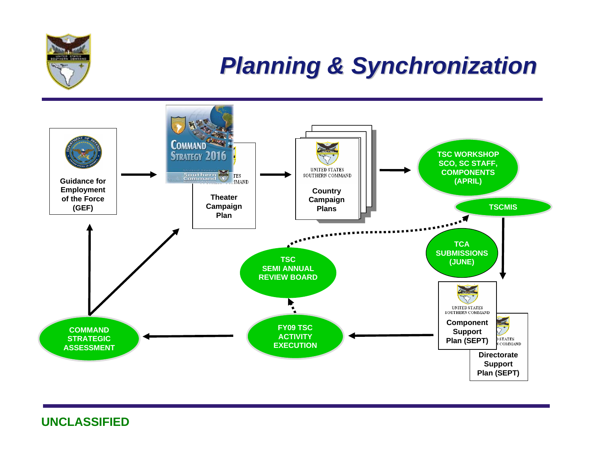

## *Planning & Synchronization Planning & Synchronization*

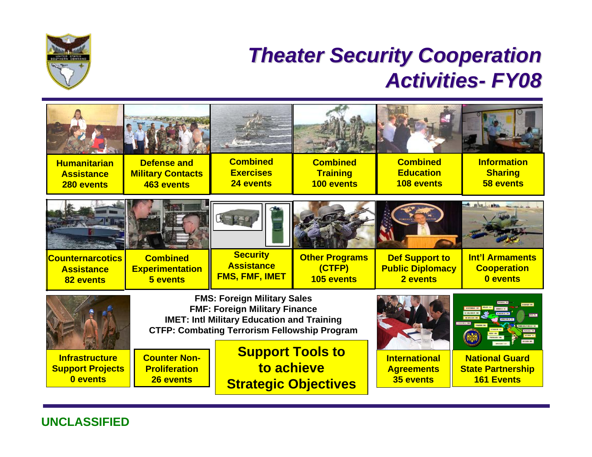

## **Theater Security Cooperation** *Activities Activities- FY08*

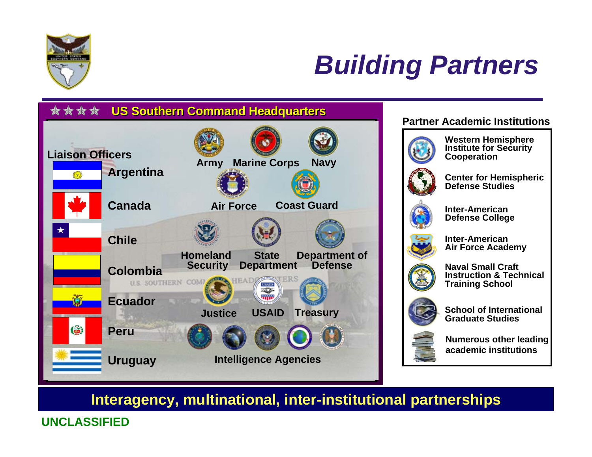

# *Building Partners*



#### **Partner Academic Institutions**



**Western Hemisphere Institute for Security Cooperation**



**Center for Hemispheric Defense Studies**



**Inter-American Defense College**



**Inter-American Air Force Academy**



**Naval Small Craft Instruction & TechnicalTraining School**



**School of InternationalGraduate Studies**



**Numerous other leading academic institutions**

### **Interagency, multinational, inter-institutional partnerships**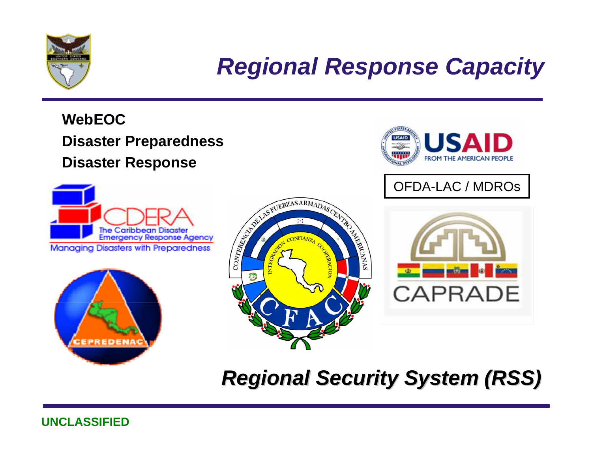

# *Regional Response Capacity*

### **WebEOC Disaster Preparedness Disaster Response**









OFDA-LAC / MDROs



## *Regional Security System (RSS) Regional Security System (RSS)*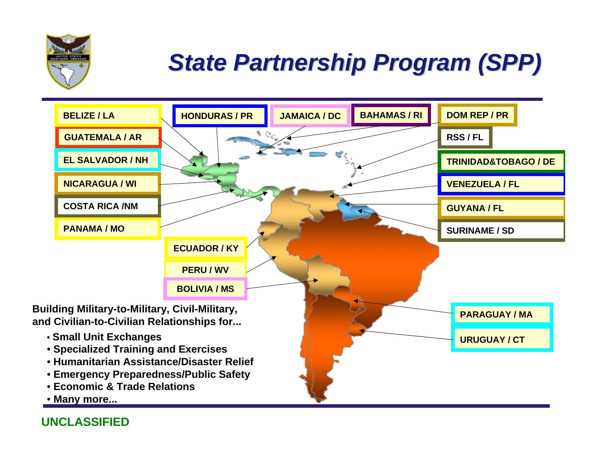

# *State Partnership Program (SPP) State Partnership Program (SPP)*